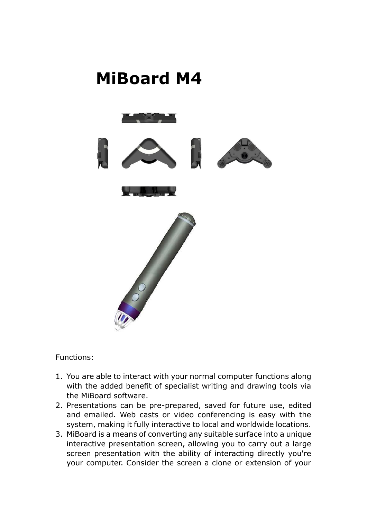

Functions:

- 1. You are able to interact with your normal computer functions along with the added benefit of specialist writing and drawing tools via the MiBoard software.
- 2. Presentations can be pre-prepared, saved for future use, edited and emailed. Web casts or video conferencing is easy with the system, making it fully interactive to local and worldwide locations.
- 3. MiBoard is a means of converting any suitable surface into a unique interactive presentation screen, allowing you to carry out a large screen presentation with the ability of interacting directly you're your computer. Consider the screen a clone or extension of your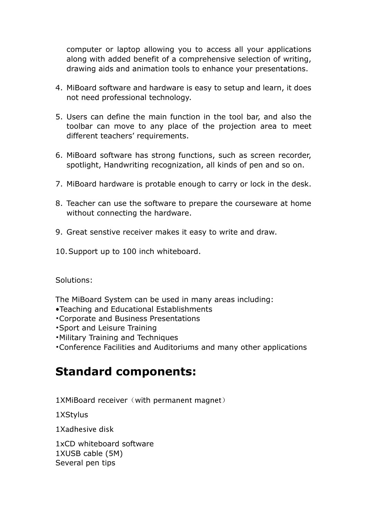computer or laptop allowing you to access all your applications along with added benefit of a comprehensive selection of writing, drawing aids and animation tools to enhance your presentations.

- 4. MiBoard software and hardware is easy to setup and learn, it does not need professional technology.
- 5. Users can define the main function in the tool bar, and also the toolbar can move to any place of the projection area to meet different teachers' requirements.
- 6. MiBoard software has strong functions, such as screen recorder, spotlight, Handwriting recognization, all kinds of pen and so on.
- 7. MiBoard hardware is protable enough to carry or lock in the desk.
- 8. Teacher can use the software to prepare the courseware at home without connecting the hardware.
- 9. Great senstive receiver makes it easy to write and draw.
- 10.Support up to 100 inch whiteboard.

Solutions:

The MiBoard System can be used in many areas including:

- •Teaching and Educational Establishments
- •Corporate and Business Presentations
- •Sport and Leisure Training
- •Military Training and Techniques
- •Conference Facilities and Auditoriums and many other applications

## **Standard components:**

 $1$ XMiBoard receiver (with permanent magnet)

1XStylus

1Xadhesive disk

1xCD whiteboard software 1XUSB cable (5M) Several pen tips